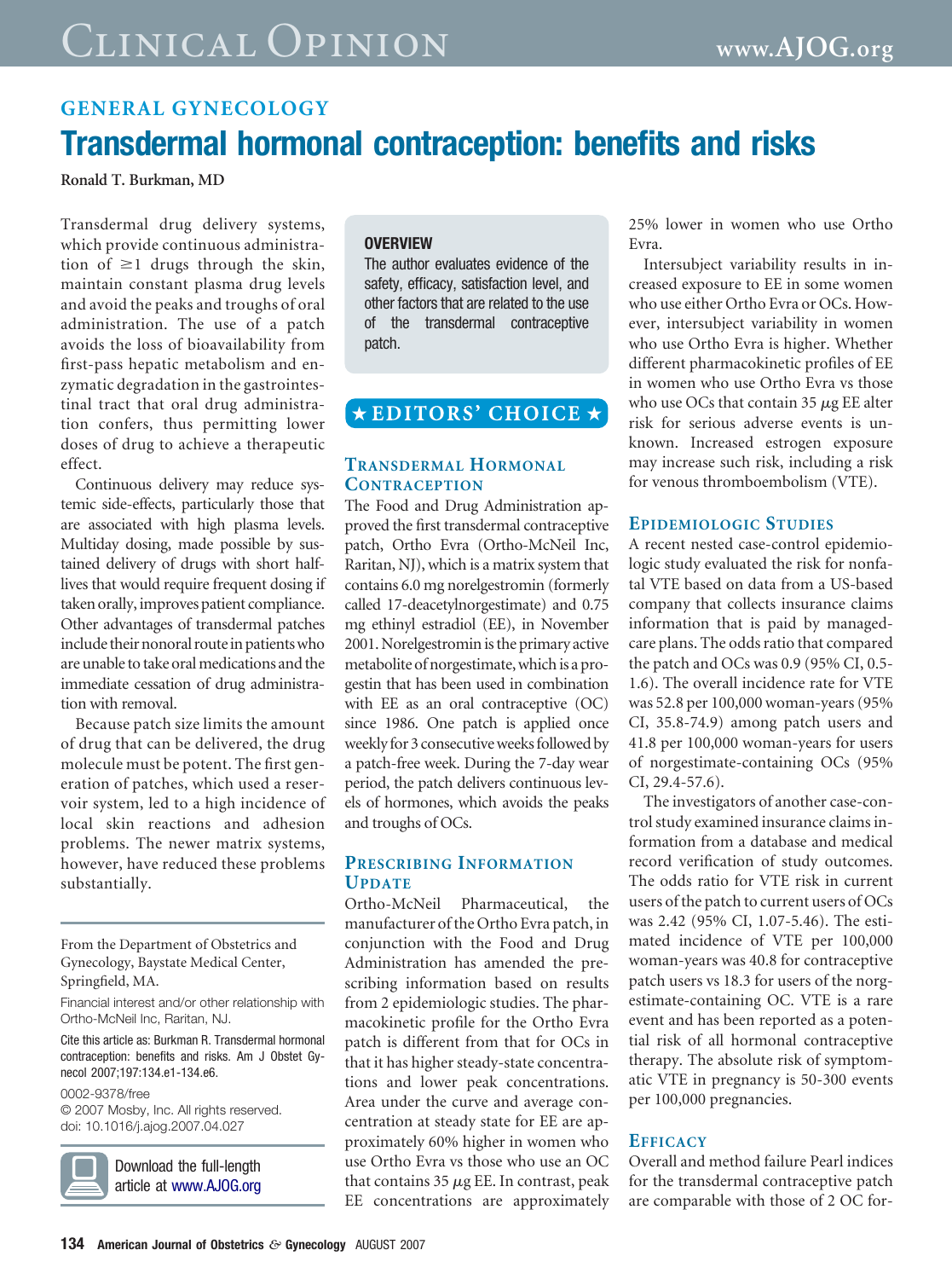# **GENERAL GYNECOLOGY Transdermal hormonal contraception: benefits and risks**

**Ronald T. Burkman, MD**

Transdermal drug delivery systems, which provide continuous administration of  $\geq 1$  drugs through the skin, maintain constant plasma drug levels and avoid the peaks and troughs of oral administration. The use of a patch avoids the loss of bioavailability from first-pass hepatic metabolism and enzymatic degradation in the gastrointestinal tract that oral drug administration confers, thus permitting lower doses of drug to achieve a therapeutic effect.

Continuous delivery may reduce systemic side-effects, particularly those that are associated with high plasma levels. Multiday dosing, made possible by sustained delivery of drugs with short halflives that would require frequent dosing if taken orally, improves patient compliance. Other advantages of transdermal patches include their nonoral route in patients who are unable to take oral medications and the immediate cessation of drug administration with removal.

Because patch size limits the amount of drug that can be delivered, the drug molecule must be potent. The first generation of patches, which used a reservoir system, led to a high incidence of local skin reactions and adhesion problems. The newer matrix systems, however, have reduced these problems substantially.

From the Department of Obstetrics and Gynecology, Baystate Medical Center, Springfield, MA.

Financial interest and/or other relationship with Ortho-McNeil Inc, Raritan, NJ.

Cite this article as: Burkman R. Transdermal hormonal contraception: benefits and risks. Am J Obstet Gynecol 2007;197:134.e1-134.e6.

0002-9378/free

© 2007 Mosby, Inc. All rights reserved. doi: 10.1016/j.ajog.2007.04.027



Download the full-length article at [www.AJOG.org](http://www.AJOG.org)

#### **OVERVIEW**

The author evaluates evidence of the safety, efficacy, satisfaction level, and other factors that are related to the use of the transdermal contraceptive patch.

# $\star$ EDITORS' CHOICE  $\star$

#### **TRANSDERMAL HORMONAL CONTRACEPTION**

The Food and Drug Administration approved the first transdermal contraceptive patch, Ortho Evra (Ortho-McNeil Inc, Raritan, NJ), which is a matrix system that contains 6.0 mg norelgestromin (formerly called 17-deacetylnorgestimate) and 0.75 mg ethinyl estradiol (EE), in November 2001. Norelgestromin is the primary active metabolite of norgestimate, which is a progestin that has been used in combination with EE as an oral contraceptive (OC) since 1986. One patch is applied once weekly for 3 consecutive weeks followed by a patch-free week. During the 7-day wear period, the patch delivers continuous levels of hormones, which avoids the peaks and troughs of OCs.

#### **PRESCRIBING INFORMATION UPDATE**

Ortho-McNeil Pharmaceutical, the manufacturer of the Ortho Evra patch, in conjunction with the Food and Drug Administration has amended the prescribing information based on results from 2 epidemiologic studies. The pharmacokinetic profile for the Ortho Evra patch is different from that for OCs in that it has higher steady-state concentrations and lower peak concentrations. Area under the curve and average concentration at steady state for EE are approximately 60% higher in women who use Ortho Evra vs those who use an OC that contains 35  $\mu$ g EE. In contrast, peak EE concentrations are approximately

25% lower in women who use Ortho Evra.

Intersubject variability results in increased exposure to EE in some women who use either Ortho Evra or OCs. However, intersubject variability in women who use Ortho Evra is higher. Whether different pharmacokinetic profiles of EE in women who use Ortho Evra vs those who use OCs that contain 35  $\mu$ g EE alter risk for serious adverse events is unknown. Increased estrogen exposure may increase such risk, including a risk for venous thromboembolism (VTE).

#### **EPIDEMIOLOGIC STUDIES**

A recent nested case-control epidemiologic study evaluated the risk for nonfatal VTE based on data from a US-based company that collects insurance claims information that is paid by managedcare plans. The odds ratio that compared the patch and OCs was 0.9 (95% CI, 0.5- 1.6). The overall incidence rate for VTE was 52.8 per 100,000 woman-years (95% CI, 35.8-74.9) among patch users and 41.8 per 100,000 woman-years for users of norgestimate-containing OCs (95% CI, 29.4-57.6).

The investigators of another case-control study examined insurance claims information from a database and medical record verification of study outcomes. The odds ratio for VTE risk in current users of the patch to current users of OCs was 2.42 (95% CI, 1.07-5.46). The estimated incidence of VTE per 100,000 woman-years was 40.8 for contraceptive patch users vs 18.3 for users of the norgestimate-containing OC. VTE is a rare event and has been reported as a potential risk of all hormonal contraceptive therapy. The absolute risk of symptomatic VTE in pregnancy is 50-300 events per 100,000 pregnancies.

#### **EFFICACY**

Overall and method failure Pearl indices for the transdermal contraceptive patch are comparable with those of 2 OC for-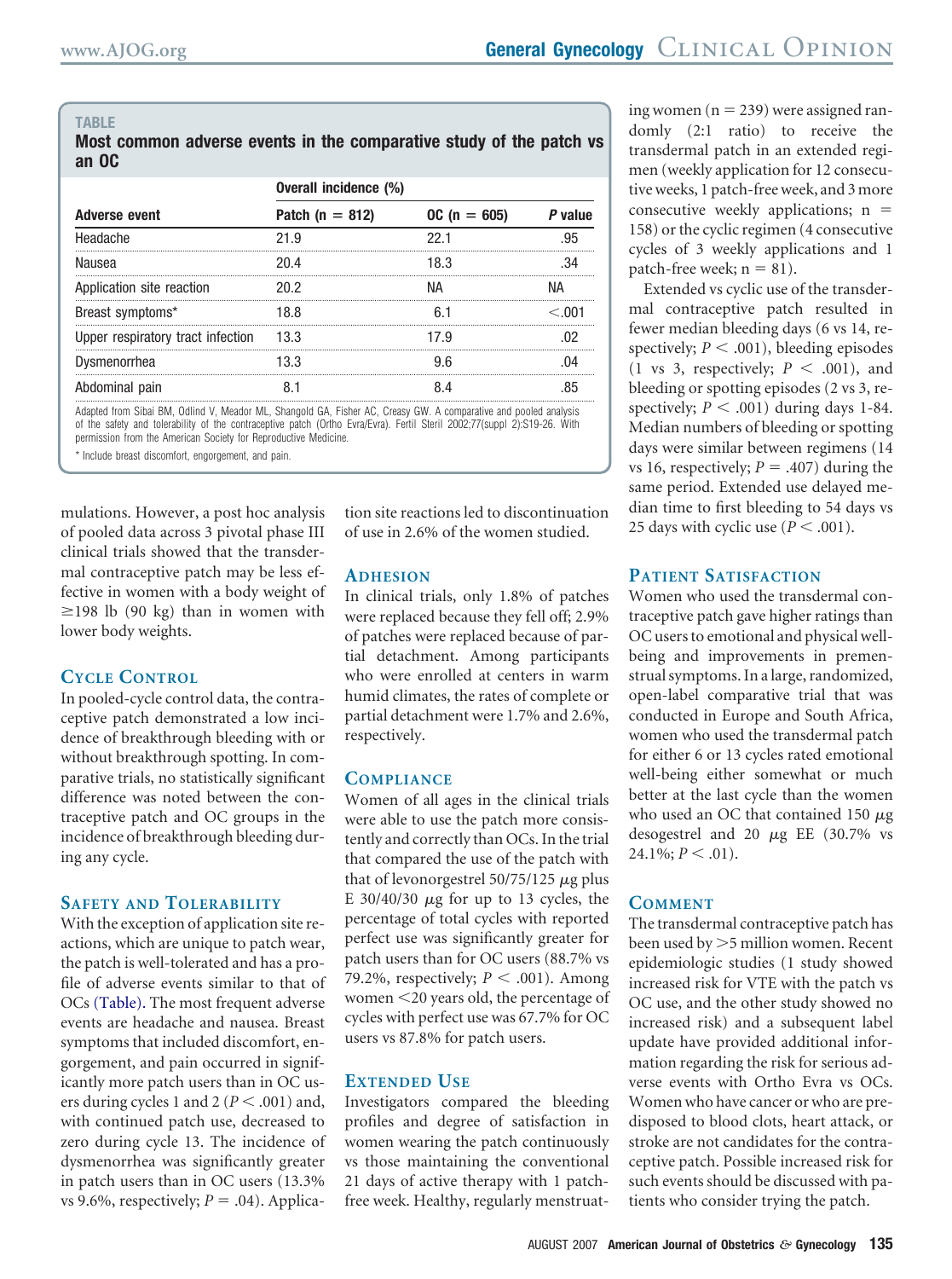#### **TABLE**

**Most common adverse events in the comparative study of the patch vs an OC**

|                                   | Overall incidence (%) |                |                |
|-----------------------------------|-----------------------|----------------|----------------|
| Adverse event                     | Patch (n = 812)       | $OC (n = 605)$ | <i>P</i> value |
| Headache                          | 21 Q                  |                |                |
| Nausea                            | 20 A                  | 18.3           |                |
| Application site reaction         | 'በ 2                  |                |                |
| Breast symptoms*                  | 18 8                  |                |                |
| Upper respiratory tract infection | - 13.3                | 17 Q           |                |
| Dysmenorrhea                      | 13 3                  |                |                |
| dominal pain                      |                       |                |                |

.............................................................................................................................................................................................................................................. Adapted from Sibai BM, Odlind V, Meador ML, Shangold GA, Fisher AC, Creasy GW. A comparative and pooled analysis of the safety and tolerability of the contraceptive patch (Ortho Evra/Evra). Fertil Steril 2002;77(suppl 2):S19-26. With permission from the American Society for Reproductive Medicine.

\* Include breast discomfort, engorgement, and pain.

mulations. However, a post hoc analysis of pooled data across 3 pivotal phase III clinical trials showed that the transdermal contraceptive patch may be less effective in women with a body weight of  $\geq$ 198 lb (90 kg) than in women with lower body weights.

# **CYCLE CONTROL**

In pooled-cycle control data, the contraceptive patch demonstrated a low incidence of breakthrough bleeding with or without breakthrough spotting. In comparative trials, no statistically significant difference was noted between the contraceptive patch and OC groups in the incidence of breakthrough bleeding during any cycle.

# **SAFETY AND TOLERABILITY**

With the exception of application site reactions, which are unique to patch wear, the patch is well-tolerated and has a profile of adverse events similar to that of OCs (Table). The most frequent adverse events are headache and nausea. Breast symptoms that included discomfort, engorgement, and pain occurred in significantly more patch users than in OC users during cycles 1 and 2 ( $P < .001$ ) and, with continued patch use, decreased to zero during cycle 13. The incidence of dysmenorrhea was significantly greater in patch users than in OC users (13.3% vs 9.6%, respectively;  $P = .04$ ). Applica-

tion site reactions led to discontinuation of use in 2.6% of the women studied.

# **ADHESION**

In clinical trials, only 1.8% of patches were replaced because they fell off; 2.9% of patches were replaced because of partial detachment. Among participants who were enrolled at centers in warm humid climates, the rates of complete or partial detachment were 1.7% and 2.6%, respectively.

# **COMPLIANCE**

Women of all ages in the clinical trials were able to use the patch more consistently and correctly than OCs. In the trial that compared the use of the patch with that of levonorgestrel  $50/75/125 \mu$ g plus E  $30/40/30$  µg for up to 13 cycles, the percentage of total cycles with reported perfect use was significantly greater for patch users than for OC users (88.7% vs 79.2%, respectively;  $P < .001$ ). Among women 20 years old, the percentage of cycles with perfect use was 67.7% for OC users vs 87.8% for patch users.

# **EXTENDED USE**

Investigators compared the bleeding profiles and degree of satisfaction in women wearing the patch continuously vs those maintaining the conventional 21 days of active therapy with 1 patchfree week. Healthy, regularly menstruat-

ing women  $(n = 239)$  were assigned randomly (2:1 ratio) to receive the transdermal patch in an extended regimen (weekly application for 12 consecutive weeks, 1 patch-free week, and 3 more consecutive weekly applications;  $n =$ 158) or the cyclic regimen (4 consecutive cycles of 3 weekly applications and 1  $patch-free week; n = 81$ ).

Extended vs cyclic use of the transdermal contraceptive patch resulted in fewer median bleeding days (6 vs 14, respectively;  $P < .001$ ), bleeding episodes (1 vs 3, respectively;  $P < .001$ ), and bleeding or spotting episodes (2 vs 3, respectively;  $P < .001$ ) during days 1-84. Median numbers of bleeding or spotting days were similar between regimens (14 vs 16, respectively;  $P = .407$ ) during the same period. Extended use delayed median time to first bleeding to 54 days vs 25 days with cyclic use  $(P < .001)$ .

# **PATIENT SATISFACTION**

Women who used the transdermal contraceptive patch gave higher ratings than OC users to emotional and physical wellbeing and improvements in premenstrual symptoms. In a large, randomized, open-label comparative trial that was conducted in Europe and South Africa, women who used the transdermal patch for either 6 or 13 cycles rated emotional well-being either somewhat or much better at the last cycle than the women who used an OC that contained 150  $\mu$ g desogestrel and 20  $\mu$ g EE (30.7% vs  $24.1\%$ ;  $P < .01$ ).

# **COMMENT**

The transdermal contraceptive patch has been used by > 5 million women. Recent epidemiologic studies (1 study showed increased risk for VTE with the patch vs OC use, and the other study showed no increased risk) and a subsequent label update have provided additional information regarding the risk for serious adverse events with Ortho Evra vs OCs. Women who have cancer or who are predisposed to blood clots, heart attack, or stroke are not candidates for the contraceptive patch. Possible increased risk for such events should be discussed with patients who consider trying the patch.